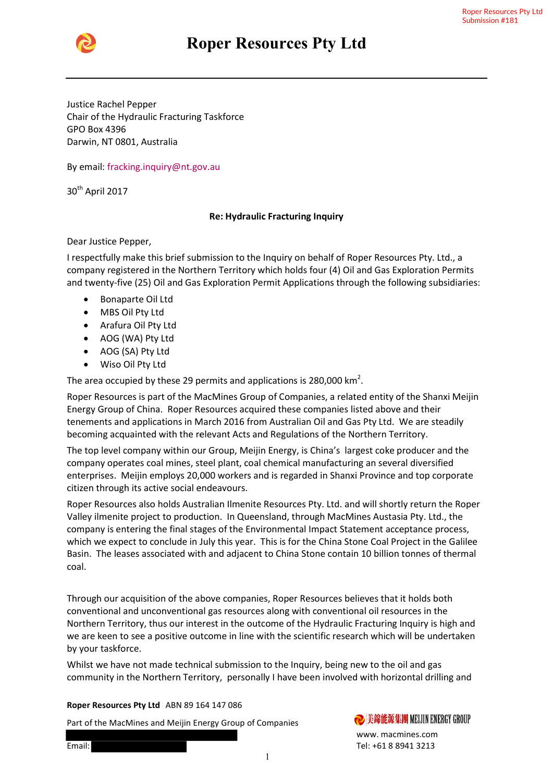

## Roper Roper Resources Pty Ltd

Justice Rachel Pepper Chair of the Hydraulic Fracturing Taskforce Chair of the Hydraulic GPO Box 4396 Darwin, NT 0801, Australia

By email: fracking.inquiry@nt.gov.au

30<sup>th</sup> April 2017

## Re: Hydraulic Fracturing Inquiry

Dear Justice Pepper,

I respectfully make this brief submission to the Inquiry on behalf of Roper Resources Pty. Ltd., a company registered in the Northern Territory which holds four (4) Oil and Gas Exploration Permits and twenty-five (25) Oil and Gas Exploration Permit Applications through the following subsidiaries: company registered in the Northern Territory which holds four (4) Oil and Gas<br>
and twenty-five (25) Oil and Gas Exploration Permit Applications through the f<br>
• Bonaparte Oil Ltd<br>
• MBS Oil Pty Ltd<br>
• AOG (WA) Pty Ltd<br>
• A Gas Exploration Permit Applications through the following subsidiaries:<br>29 permits and applications is 280,000 km<sup>2</sup>.<br>1e MacMines Group of Companies, a related entity of the Shanxi Meijin

- Bonaparte Oil Ltd
- MBS Oil Pty Ltd
- Arafura Oil Pty Ltd
- AOG (WA) Pty Ltd
- AOG (SA) Pty Ltd
- Wiso Oil Pty Ltd

The area occupied by these 29 permits and applications is 280,000  $\text{km}^2$ .

Roper Resources is part of the MacMines Group of Companies, a related entity of the Shanxi Meijin<br>Energy Group of China. Roper Resources acquired these companies listed above and their Energy Group of China. Roper Resources acquired these companies listed above and their tenements and applications in March 2016 from Australian Oil and Gas Pty Ltd. We are steadily becoming acquainted with the relevant Acts and Regulations of the Northern Territory. becoming acquainted with the relevant Acts and Regulations of the Northern Territory.<br>The top level company within our Group, Meijin Energy, is China's largest coke producer and the

company operates coal mines, steel plant, coal c company operates coal mines, steel plant, coal chemical manufacturing an several diversified hemical manufacturing an several diversified enterprises. Meijin employs 20,000 workers and is regarded in Shanxi Province and top corporate citizen through its active social endeavours. citizen through its active social endeavours.<br>Roper Resources also holds Australian Ilmenite Resources Pty. Ltd. and will shortly return the Roper

Valley ilmenite project to production. In Queensland, through MacMines Austasia Pty. Ltd., the MacMines Austasia Pty. Ltd., the company is entering the final stages of the Environmental Impact Statement acceptance process, which we expect to conclude in July this year. This is for the China Stone Coal Project in the Galilee Valley ilmenite project to production. In Queensland, through MacMines Austasia Pty. Ltd., the<br>company is entering the final stages of the Environmental Impact Statement acceptance process,<br>which we expect to conclude in J coal. Roper Resources Pty. Ltd., a<br>Dil and Gas Exploration Perm<br>rough the following subsidiar<br>rough the following subsidiar<br>Sisted above and their<br>Gas Pty Ltd. We are steadily<br>Northern Territory.<br>argest coke producer and th<br>min

Through our acquisition of the above companies, Roper Resources believes that it holds both conventional and unconventional gas resources along with conventional oil resources in the Northern Territory, thus our interest in the outcome of the Hydraulic Fracturing Inquiry is high and we are keen to see a positive outcome in line with the scientific research which will be und<br>by your taskforce.<br>Whilst we have not made technical submission to the Inquiry, being new to the oil and gas by your taskforce. conventional and unconventional gas resources along with conventional oil resources in the<br>Northern Territory, thus our interest in the outcome of the Hydraulic Fracturing Inquiry is high and<br>we are keen to see a positive the outcome of the Hydraulic Fracturing Inquiry is high and

Whilst we have not made technical submission to the Inquiry, being new to the oil and gas community in the Northern Territory, personally I have been involved with horizontal drilling and

Roper Resources Pty Ltd ABN 89 164 147 086

Roper Resources Pty Ltd ABN 89 164 147 086<br>Part of the MacMines and Meijin Energy Group of Companies

www. macmines.com Tel: +61 8 8941 3213